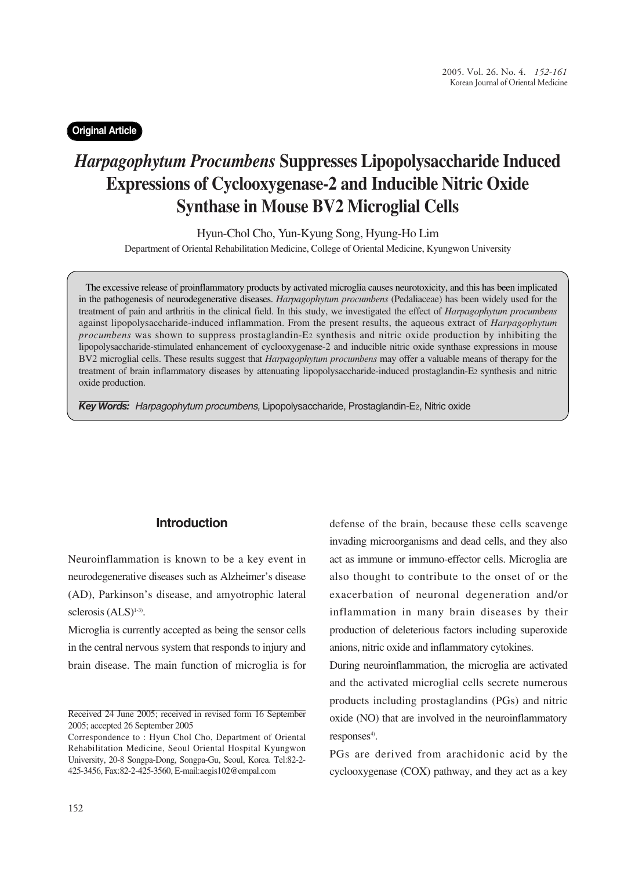## **Original Article**

# *Harpagophytum Procumbens* **Suppresses Lipopolysaccharide Induced Expressions of Cyclooxygenase-2 and Inducible Nitric Oxide Synthase in Mouse BV2 Microglial Cells**

Hyun-Chol Cho, Yun-Kyung Song, Hyung-Ho Lim

Department of Oriental Rehabilitation Medicine, College of Oriental Medicine, Kyungwon University

The excessive release of proinflammatory products by activated microglia causes neurotoxicity, and this has been implicated in the pathogenesis of neurodegenerative diseases. *Harpagophytum procumbens* (Pedaliaceae) has been widely used for the treatment of pain and arthritis in the clinical field. In this study, we investigated the effect of *Harpagophytum procumbens* against lipopolysaccharide-induced inflammation. From the present results, the aqueous extract of *Harpagophytum procumbens* was shown to suppress prostaglandin-E2 synthesis and nitric oxide production by inhibiting the lipopolysaccharide-stimulated enhancement of cyclooxygenase-2 and inducible nitric oxide synthase expressions in mouse BV2 microglial cells. These results suggest that *Harpagophytum procumbens* may offer a valuable means of therapy for the treatment of brain inflammatory diseases by attenuating lipopolysaccharide-induced prostaglandin-E2 synthesis and nitric oxide production.

*Key Words: Harpagophytum procumbens,* Lipopolysaccharide, Prostaglandin-E2, Nitric oxide

## **Introduction**

Neuroinflammation is known to be a key event in neurodegenerative diseases such as Alzheimer's disease (AD), Parkinson's disease, and amyotrophic lateral sclerosis  $(ALS)^{1-3}$ .

Microglia is currently accepted as being the sensor cells in the central nervous system that responds to injury and brain disease. The main function of microglia is for

defense of the brain, because these cells scavenge invading microorganisms and dead cells, and they also act as immune or immuno-effector cells. Microglia are also thought to contribute to the onset of or the exacerbation of neuronal degeneration and/or inflammation in many brain diseases by their production of deleterious factors including superoxide anions, nitric oxide and inflammatory cytokines.

During neuroinflammation, the microglia are activated and the activated microglial cells secrete numerous products including prostaglandins (PGs) and nitric oxide (NO) that are involved in the neuroinflammatory  $responents<sup>4</sup>$ .

PGs are derived from arachidonic acid by the cyclooxygenase (COX) pathway, and they act as a key

Received 24 June 2005; received in revised form 16 September 2005; accepted 26 September 2005

Correspondence to : Hyun Chol Cho, Department of Oriental Rehabilitation Medicine, Seoul Oriental Hospital Kyungwon University, 20-8 Songpa-Dong, Songpa-Gu, Seoul, Korea. Tel:82-2- 425-3456, Fax:82-2-425-3560, E-mail:aegis102@empal.com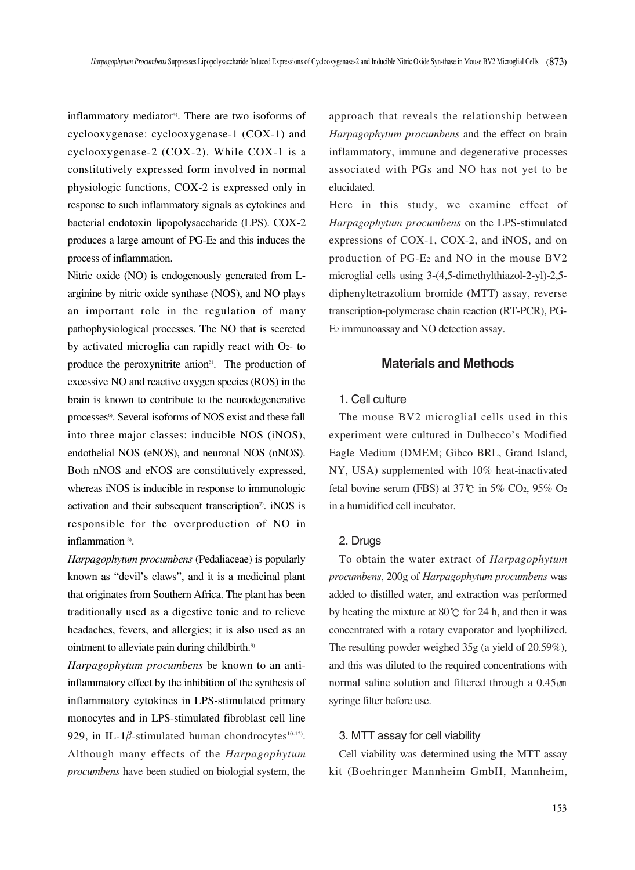inflammatory mediator<sup>4)</sup>. There are two isoforms of cyclooxygenase: cyclooxygenase-1 (COX-1) and cyclooxygenase-2 (COX-2). While COX-1 is a constitutively expressed form involved in normal physiologic functions, COX-2 is expressed only in response to such inflammatory signals as cytokines and bacterial endotoxin lipopolysaccharide (LPS). COX-2 produces a large amount of PG-E2 and this induces the process of inflammation.

Nitric oxide (NO) is endogenously generated from Larginine by nitric oxide synthase (NOS), and NO plays an important role in the regulation of many pathophysiological processes. The NO that is secreted by activated microglia can rapidly react with O2- to produce the peroxynitrite anion<sup>5)</sup>. The production of excessive NO and reactive oxygen species (ROS) in the brain is known to contribute to the neurodegenerative processes<sup>6</sup>. Several isoforms of NOS exist and these fall into three major classes: inducible NOS (iNOS), endothelial NOS (eNOS), and neuronal NOS (nNOS). Both nNOS and eNOS are constitutively expressed, whereas iNOS is inducible in response to immunologic activation and their subsequent transcription<sup>7</sup>. iNOS is responsible for the overproduction of NO in inflammation<sup>8)</sup>.

*Harpagophytum procumbens* (Pedaliaceae) is popularly known as "devil's claws", and it is a medicinal plant that originates from Southern Africa. The plant has been traditionally used as a digestive tonic and to relieve headaches, fevers, and allergies; it is also used as an ointment to alleviate pain during childbirth.<sup>9)</sup>

*Harpagophytum procumbens* be known to an antiinflammatory effect by the inhibition of the synthesis of inflammatory cytokines in LPS-stimulated primary monocytes and in LPS-stimulated fibroblast cell line 929, in IL-1 $\beta$ -stimulated human chondrocytes<sup>10-12)</sup>. Although many effects of the *Harpagophytum procumbens* have been studied on biologial system, the

approach that reveals the relationship between *Harpagophytum procumbens* and the effect on brain inflammatory, immune and degenerative processes associated with PGs and NO has not yet to be elucidated.

Here in this study, we examine effect of *Harpagophytum procumbens* on the LPS-stimulated expressions of COX-1, COX-2, and iNOS, and on production of PG-E2 and NO in the mouse BV2 microglial cells using 3-(4,5-dimethylthiazol-2-yl)-2,5 diphenyltetrazolium bromide (MTT) assay, reverse transcription-polymerase chain reaction (RT-PCR), PG-E2 immunoassay and NO detection assay.

## **Materials and Methods**

### 1. Cell culture

The mouse BV2 microglial cells used in this experiment were cultured in Dulbecco's Modified Eagle Medium (DMEM; Gibco BRL, Grand Island, NY, USA) supplemented with 10% heat-inactivated fetal bovine serum (FBS) at 37℃ in 5% CO2, 95% O2 in a humidified cell incubator.

#### 2. Drugs

To obtain the water extract of *Harpagophytum procumbens*, 200g of *Harpagophytum procumbens* was added to distilled water, and extraction was performed by heating the mixture at 80℃ for 24 h, and then it was concentrated with a rotary evaporator and lyophilized. The resulting powder weighed 35g (a yield of 20.59%), and this was diluted to the required concentrations with normal saline solution and filtered through a  $0.45 \mu m$ syringe filter before use.

#### 3. MTT assay for cell viability

Cell viability was determined using the MTT assay kit (Boehringer Mannheim GmbH, Mannheim,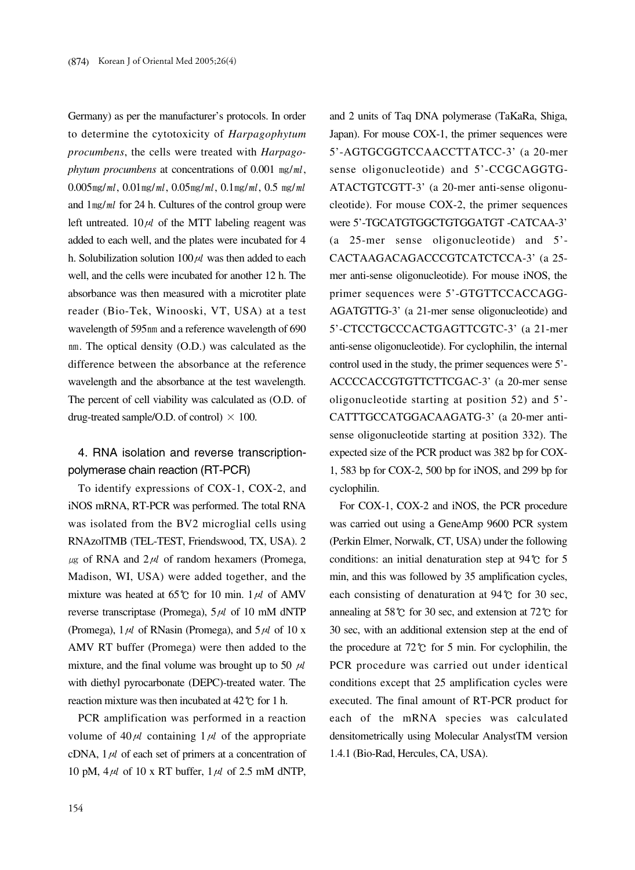Germany) as per the manufacturer's protocols. In order to determine the cytotoxicity of *Harpagophytum procumbens*, the cells were treated with *Harpagophytum procumbens* at concentrations of 0.001 ㎎/㎖, 0.005 $m$ g/ml, 0.01 $m$ g/ml, 0.05 $m$ g/ml, 0.1 $m$ g/ml, 0.5  $m$ g/ml and  $1$ mg/ml for 24 h. Cultures of the control group were left untreated.  $10 \mu l$  of the MTT labeling reagent was added to each well, and the plates were incubated for 4 h. Solubilization solution  $100 \mu l$  was then added to each well, and the cells were incubated for another 12 h. The absorbance was then measured with a microtiter plate reader (Bio-Tek, Winooski, VT, USA) at a test wavelength of 595nm and a reference wavelength of 690 nm. The optical density (O.D.) was calculated as the difference between the absorbance at the reference wavelength and the absorbance at the test wavelength. The percent of cell viability was calculated as (O.D. of drug-treated sample/O.D. of control)  $\times$  100.

4. RNA isolation and reverse transcriptionpolymerase chain reaction (RT-PCR)

To identify expressions of COX-1, COX-2, and iNOS mRNA, RT-PCR was performed. The total RNA was isolated from the BV2 microglial cells using RNAzolTMB (TEL-TEST, Friendswood, TX, USA). 2  $\mu$ g of RNA and  $2\mu l$  of random hexamers (Promega, Madison, WI, USA) were added together, and the mixture was heated at 65°C for 10 min.  $1 \mu l$  of AMV reverse transcriptase (Promega),  $5 \mu l$  of 10 mM dNTP (Promega),  $1 \mu l$  of RNasin (Promega), and  $5 \mu l$  of 10 x AMV RT buffer (Promega) were then added to the mixture, and the final volume was brought up to 50  $\mu$ with diethyl pyrocarbonate (DEPC)-treated water. The reaction mixture was then incubated at 42℃ for 1 h.

PCR amplification was performed in a reaction volume of  $40 \mu l$  containing  $1 \mu l$  of the appropriate cDNA,  $1 \mu l$  of each set of primers at a concentration of 10 pM,  $4\mu l$  of 10 x RT buffer,  $1\mu l$  of 2.5 mM dNTP, and 2 units of Taq DNA polymerase (TaKaRa, Shiga, Japan). For mouse COX-1, the primer sequences were 5'-AGTGCGGTCCAACCTTATCC-3' (a 20-mer sense oligonucleotide) and 5'-CCGCAGGTG-ATACTGTCGTT-3' (a 20-mer anti-sense oligonucleotide). For mouse COX-2, the primer sequences were 5'-TGCATGTGGCTGTGGATGT -CATCAA-3' (a 25-mer sense oligonucleotide) and 5'- CACTAAGACAGACCCGTCATCTCCA-3' (a 25 mer anti-sense oligonucleotide). For mouse iNOS, the primer sequences were 5'-GTGTTCCACCAGG-AGATGTTG-3' (a 21-mer sense oligonucleotide) and 5'-CTCCTGCCCACTGAGTTCGTC-3' (a 21-mer anti-sense oligonucleotide). For cyclophilin, the internal control used in the study, the primer sequences were 5'- ACCCCACCGTGTTCTTCGAC-3' (a 20-mer sense oligonucleotide starting at position 52) and 5'- CATTTGCCATGGACAAGATG-3' (a 20-mer antisense oligonucleotide starting at position 332). The expected size of the PCR product was 382 bp for COX-1, 583 bp for COX-2, 500 bp for iNOS, and 299 bp for cyclophilin.

For COX-1, COX-2 and iNOS, the PCR procedure was carried out using a GeneAmp 9600 PCR system (Perkin Elmer, Norwalk, CT, USA) under the following conditions: an initial denaturation step at 94℃ for 5 min, and this was followed by 35 amplification cycles, each consisting of denaturation at 94℃ for 30 sec, annealing at 58℃ for 30 sec, and extension at 72℃ for 30 sec, with an additional extension step at the end of the procedure at 72℃ for 5 min. For cyclophilin, the PCR procedure was carried out under identical conditions except that 25 amplification cycles were executed. The final amount of RT-PCR product for each of the mRNA species was calculated densitometrically using Molecular AnalystTM version 1.4.1 (Bio-Rad, Hercules, CA, USA).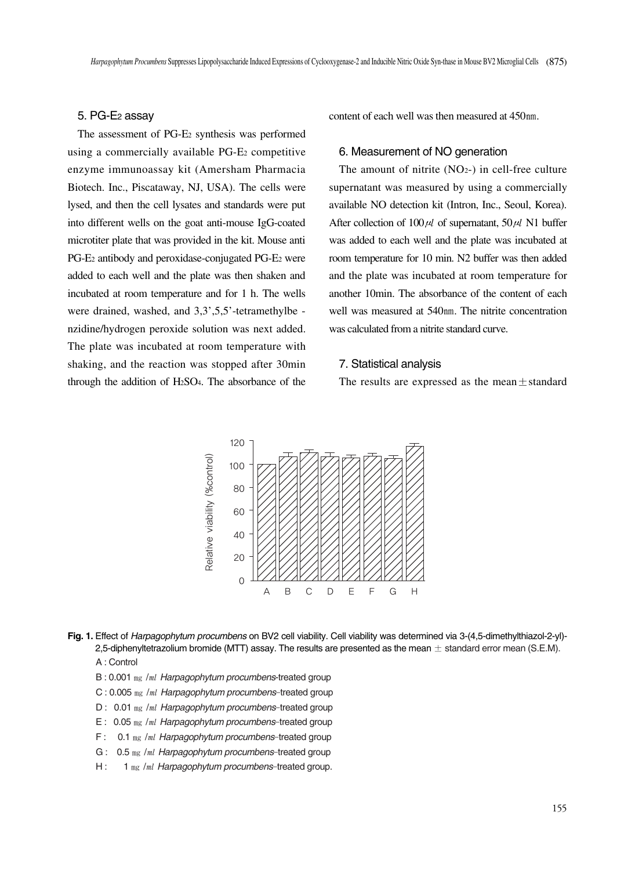#### 5. PG-E2 assay

The assessment of PG-E2 synthesis was performed using a commercially available PG-E<sub>2</sub> competitive enzyme immunoassay kit (Amersham Pharmacia Biotech. Inc., Piscataway, NJ, USA). The cells were lysed, and then the cell lysates and standards were put into different wells on the goat anti-mouse IgG-coated microtiter plate that was provided in the kit. Mouse anti PG-E2 antibody and peroxidase-conjugated PG-E2 were added to each well and the plate was then shaken and incubated at room temperature and for 1 h. The wells were drained, washed, and  $3,3',5,5'$ -tetramethylbe nzidine/hydrogen peroxide solution was next added. The plate was incubated at room temperature with shaking, and the reaction was stopped after 30min through the addition of H2SO4. The absorbance of the content of each well was then measured at 450㎚.

## 6. Measurement of NO generation

The amount of nitrite  $(NO<sub>2</sub>-)$  in cell-free culture supernatant was measured by using a commercially available NO detection kit (Intron, Inc., Seoul, Korea). After collection of  $100 \mu l$  of supernatant,  $50 \mu l$  N1 buffer was added to each well and the plate was incubated at room temperature for 10 min. N2 buffer was then added and the plate was incubated at room temperature for another 10min. The absorbance of the content of each well was measured at 540nm. The nitrite concentration was calculated from a nitrite standard curve.

#### 7. Statistical analysis

The results are expressed as the mean $\pm$ standard



- **Fig. 1.** Effect of *Harpagophytum procumbens* on BV2 cell viability. Cell viability was determined via 3-(4,5-dimethylthiazol-2-yl)- 2,5-diphenyltetrazolium bromide (MTT) assay. The results are presented as the mean  $\pm$  standard error mean (S.E.M). A : Control
	- B : 0.001 ㎎ /㎖ *Harpagophytum procumbens*-treated group
	- C : 0.005 ㎎ /㎖ *Harpagophytum procumbens*-treated group
	- D : 0.01 ㎎ /㎖ *Harpagophytum procumbens*-treated group
	- E : 0.05 ㎎ /㎖ *Harpagophytum procumbens*-treated group
	- F : 0.1 ㎎ /㎖ *Harpagophytum procumbens*-treated group
	- G : 0.5 ㎎ /㎖ *Harpagophytum procumbens*-treated group
	- H : 1 ㎎ /㎖ *Harpagophytum procumbens*-treated group.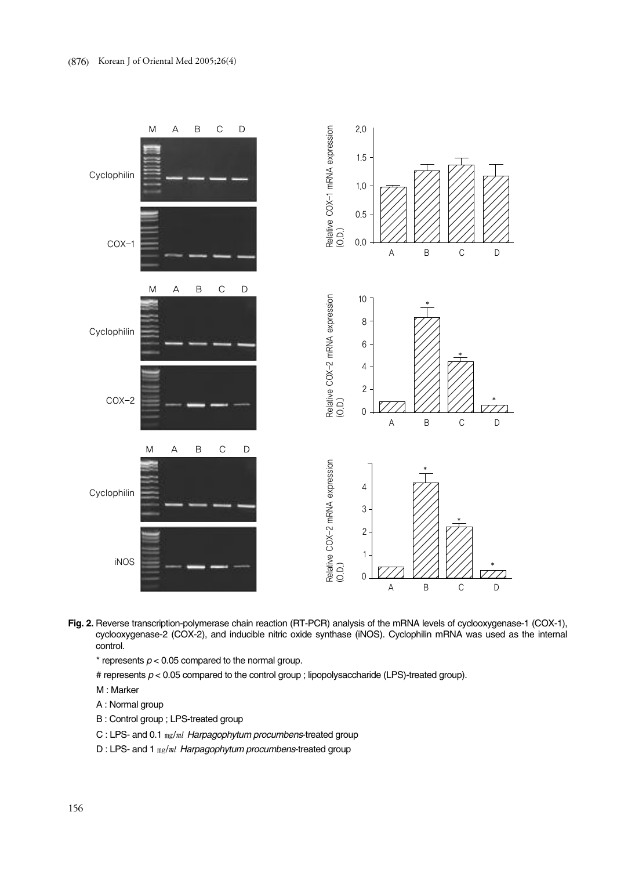

- **Fig. 2.** Reverse transcription-polymerase chain reaction (RT-PCR) analysis of the mRNA levels of cyclooxygenase-1 (COX-1), cyclooxygenase-2 (COX-2), and inducible nitric oxide synthase (iNOS). Cyclophilin mRNA was used as the internal control.
	- $*$  represents  $p < 0.05$  compared to the normal group.
	- # represents *p* < 0.05 compared to the control group ; lipopolysaccharide (LPS)-treated group).
	- M : Marker
	- A : Normal group
	- B : Control group ; LPS-treated group
	- C : LPS- and 0.1 ㎎/㎖ *Harpagophytum procumbens*-treated group
	- D : LPS- and 1 ㎎/㎖ *Harpagophytum procumbens*-treated group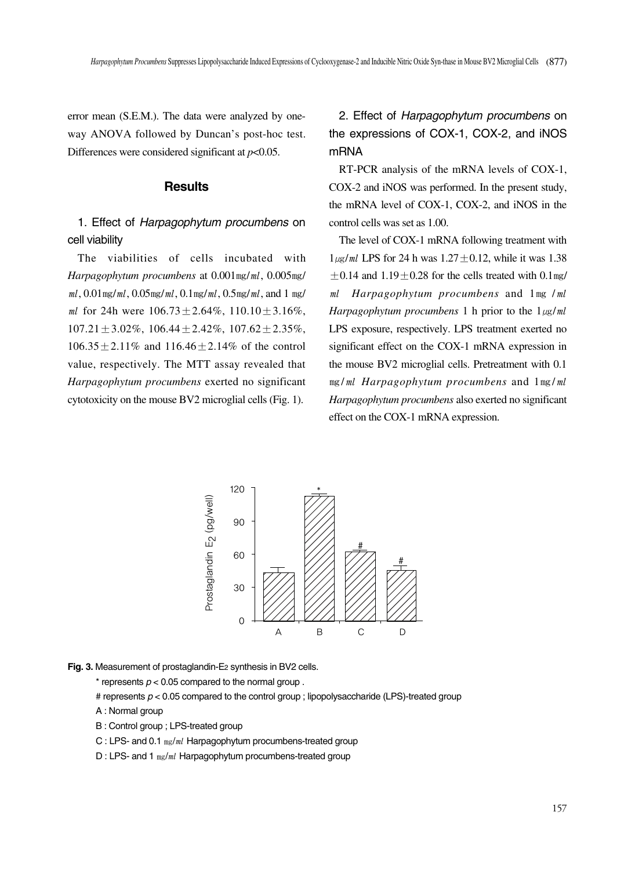error mean (S.E.M.). The data were analyzed by oneway ANOVA followed by Duncan's post-hoc test. Differences were considered significant at *p*<0.05.

## **Results**

# 1. Effect of *Harpagophytum procumbens* on cell viability

The viabilities of cells incubated with *Harpagophytum procumbens* at 0.001㎎/㎖, 0.005㎎/  $ml$ ,  $0.01$  mg/ $ml$ ,  $0.05$  mg/ $ml$ ,  $0.1$  mg/ $ml$ ,  $0.5$  mg/ $ml$ , and 1 mg/ ml for 24h were  $106.73 \pm 2.64\%$ ,  $110.10 \pm 3.16\%$ ,  $107.21 \pm 3.02\%$ ,  $106.44 \pm 2.42\%$ ,  $107.62 \pm 2.35\%$ ,  $106.35 \pm 2.11\%$  and  $116.46 \pm 2.14\%$  of the control value, respectively. The MTT assay revealed that *Harpagophytum procumbens* exerted no significant cytotoxicity on the mouse BV2 microglial cells (Fig. 1).

2. Effect of *Harpagophytum procumbens* on the expressions of COX-1, COX-2, and iNOS mRNA

RT-PCR analysis of the mRNA levels of COX-1, COX-2 and iNOS was performed. In the present study, the mRNA level of COX-1, COX-2, and iNOS in the control cells was set as 1.00.

The level of COX-1 mRNA following treatment with  $1\mu\text{g/mL}$  LPS for 24 h was  $1.27 \pm 0.12$ , while it was 1.38  $\pm$ 0.14 and 1.19 $\pm$ 0.28 for the cells treated with 0.1 $mg/$ ㎖ *Harpagophytum procumbens* and 1㎎ /㎖ *Harpagophytum procumbens* 1 h prior to the  $1\mu g/ml$ LPS exposure, respectively. LPS treatment exerted no significant effect on the COX-1 mRNA expression in the mouse BV2 microglial cells. Pretreatment with 0.1 ㎎/㎖ *Harpagophytum procumbens* and 1㎎/㎖ *Harpagophytum procumbens* also exerted no significant effect on the COX-1 mRNA expression.



**Fig. 3.** Measurement of prostaglandin-E2 synthesis in BV2 cells.

 $*$  represents  $p < 0.05$  compared to the normal group.

- # represents  $p < 0.05$  compared to the control group ; lipopolysaccharide (LPS)-treated group
- A : Normal group
- B : Control group ; LPS-treated group
- C : LPS- and 0.1  $m\epsilon/ml$  Harpagophytum procumbens-treated group
- D : LPS- and 1 mg/ml Harpagophytum procumbens-treated group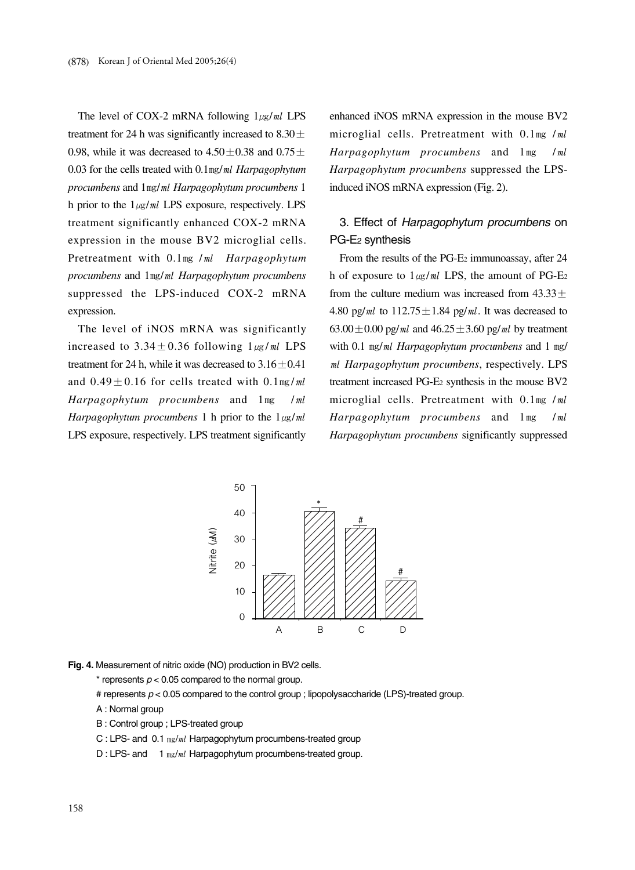The level of COX-2 mRNA following  $1\mu g/ml$  LPS treatment for 24 h was significantly increased to  $8.30 \pm$ 0.98, while it was decreased to  $4.50 \pm 0.38$  and  $0.75 \pm 0.38$ 0.03 for the cells treated with 0.1㎎/㎖ *Harpagophytum procumbens* and 1㎎/㎖ *Harpagophytum procumbens* 1 h prior to the  $1_{\mu g}/ml$  LPS exposure, respectively. LPS treatment significantly enhanced COX-2 mRNA expression in the mouse BV2 microglial cells. Pretreatment with 0.1㎎ /㎖ *Harpagophytum procumbens* and 1㎎/㎖ *Harpagophytum procumbens* suppressed the LPS-induced COX-2 mRNA expression.

The level of iNOS mRNA was significantly increased to  $3.34 \pm 0.36$  following  $1\mu g/ml$  LPS treatment for 24 h, while it was decreased to  $3.16 \pm 0.41$ and  $0.49 \pm 0.16$  for cells treated with  $0.1 \text{ mg}/ml$ *Harpagophytum procumbens* and 1㎎ /㎖ *Harpagophytum procumbens* 1 h prior to the  $1_{\mu g}/ml$ LPS exposure, respectively. LPS treatment significantly enhanced iNOS mRNA expression in the mouse BV2 microglial cells. Pretreatment with 0.1mg /ml *Harpagophytum procumbens* and 1㎎ /㎖ *Harpagophytum procumbens* suppressed the LPSinduced iNOS mRNA expression (Fig. 2).

# 3. Effect of *Harpagophytum procumbens* on PG-E2 synthesis

From the results of the PG-E2 immunoassay, after 24 h of exposure to  $1_{\mu g}/ml$  LPS, the amount of PG-E<sub>2</sub> from the culture medium was increased from  $43.33 \pm$ 4.80 pg/ml to  $112.75 \pm 1.84$  pg/ml. It was decreased to 63.00 $\pm$ 0.00 pg/ml and 46.25 $\pm$ 3.60 pg/ml by treatment with 0.1  $mg/ml$  *Harpagophytum procumbens* and 1 mg/ ㎖ *Harpagophytum procumbens*, respectively. LPS treatment increased PG-E2 synthesis in the mouse BV2 microglial cells. Pretreatment with 0.1mg /ml *Harpagophytum procumbens* and 1㎎ /㎖ *Harpagophytum procumbens* significantly suppressed



**Fig. 4.** Measurement of nitric oxide (NO) production in BV2 cells.

 $*$  represents  $p < 0.05$  compared to the normal group.

- # represents  $p < 0.05$  compared to the control group; lipopolysaccharide (LPS)-treated group.
- A : Normal group
- B : Control group ; LPS-treated group

C : LPS- and 0.1  $mg/ml$  Harpagophytum procumbens-treated group

D : LPS- and 1  $_{mg/ml}$  Harpagophytum procumbens-treated group.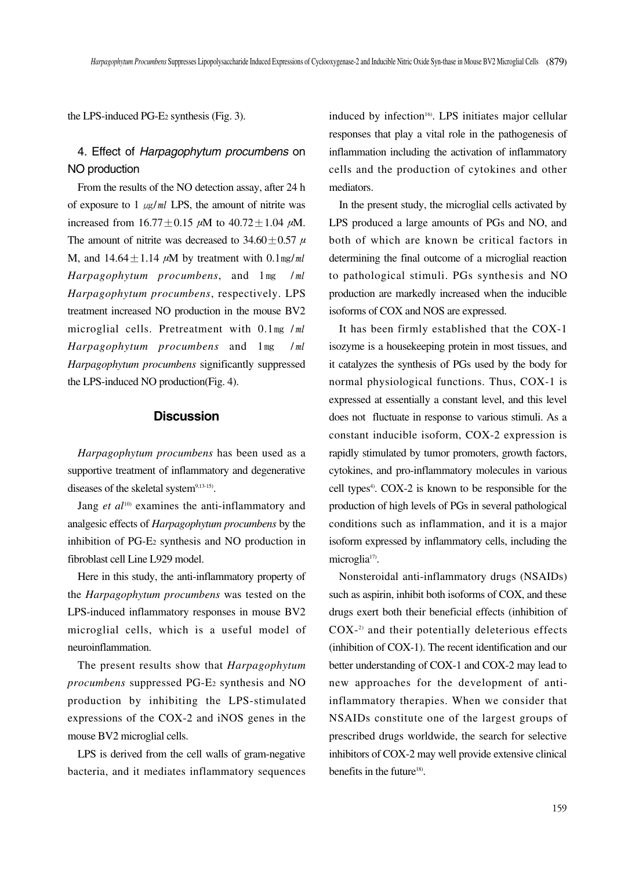the LPS-induced PG-E2 synthesis (Fig. 3).

# 4. Effect of *Harpagophytum procumbens* on NO production

From the results of the NO detection assay, after 24 h of exposure to 1  $\mu$ g/ml LPS, the amount of nitrite was increased from  $16.77 \pm 0.15$   $\mu$ M to  $40.72 \pm 1.04$   $\mu$ M. The amount of nitrite was decreased to 34.60 $\pm$ 0.57  $\mu$ M, and  $14.64 \pm 1.14 \mu M$  by treatment with 0.1mg/ml *Harpagophytum procumbens*, and 1㎎ /㎖ *Harpagophytum procumbens*, respectively. LPS treatment increased NO production in the mouse BV2 microglial cells. Pretreatment with 0.1mg /ml *Harpagophytum procumbens* and 1㎎ /㎖ *Harpagophytum procumbens* significantly suppressed the LPS-induced NO production(Fig. 4).

## **Discussion**

*Harpagophytum procumbens* has been used as a supportive treatment of inflammatory and degenerative diseases of the skeletal system<sup>9,13-15)</sup>.

Jang *et al*<sup>10)</sup> examines the anti-inflammatory and analgesic effects of *Harpagophytum procumbens* by the inhibition of PG-E2 synthesis and NO production in fibroblast cell Line L929 model.

Here in this study, the anti-inflammatory property of the *Harpagophytum procumbens* was tested on the LPS-induced inflammatory responses in mouse BV2 microglial cells, which is a useful model of neuroinflammation.

The present results show that *Harpagophytum procumbens* suppressed PG-E2 synthesis and NO production by inhibiting the LPS-stimulated expressions of the COX-2 and iNOS genes in the mouse BV2 microglial cells.

LPS is derived from the cell walls of gram-negative bacteria, and it mediates inflammatory sequences induced by infection<sup>16</sup>. LPS initiates major cellular responses that play a vital role in the pathogenesis of inflammation including the activation of inflammatory cells and the production of cytokines and other mediators.

In the present study, the microglial cells activated by LPS produced a large amounts of PGs and NO, and both of which are known be critical factors in determining the final outcome of a microglial reaction to pathological stimuli. PGs synthesis and NO production are markedly increased when the inducible isoforms of COX and NOS are expressed.

It has been firmly established that the COX-1 isozyme is a housekeeping protein in most tissues, and it catalyzes the synthesis of PGs used by the body for normal physiological functions. Thus, COX-1 is expressed at essentially a constant level, and this level does not fluctuate in response to various stimuli. As a constant inducible isoform, COX-2 expression is rapidly stimulated by tumor promoters, growth factors, cytokines, and pro-inflammatory molecules in various cell types<sup>4</sup>. COX-2 is known to be responsible for the production of high levels of PGs in several pathological conditions such as inflammation, and it is a major isoform expressed by inflammatory cells, including the microglia<sup>17)</sup>.

Nonsteroidal anti-inflammatory drugs (NSAIDs) such as aspirin, inhibit both isoforms of COX, and these drugs exert both their beneficial effects (inhibition of COX-2) and their potentially deleterious effects (inhibition of COX-1). The recent identification and our better understanding of COX-1 and COX-2 may lead to new approaches for the development of antiinflammatory therapies. When we consider that NSAIDs constitute one of the largest groups of prescribed drugs worldwide, the search for selective inhibitors of COX-2 may well provide extensive clinical benefits in the future<sup>18)</sup>.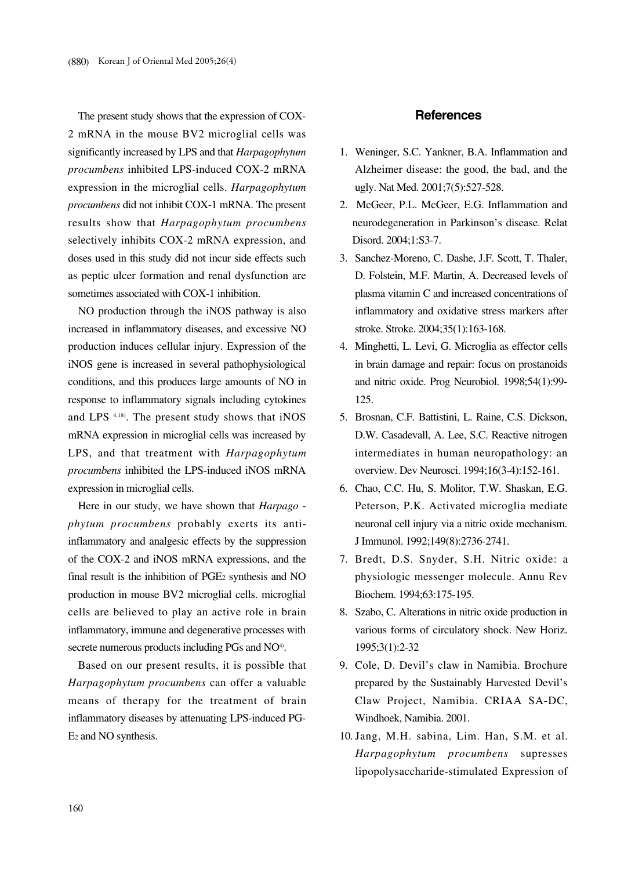The present study shows that the expression of COX-2 mRNA in the mouse BV2 microglial cells was significantly increased by LPS and that *Harpagophytum procumbens* inhibited LPS-induced COX-2 mRNA expression in the microglial cells. *Harpagophytum procumbens* did not inhibit COX-1 mRNA. The present results show that *Harpagophytum procumbens* selectively inhibits COX-2 mRNA expression, and doses used in this study did not incur side effects such as peptic ulcer formation and renal dysfunction are sometimes associated with COX-1 inhibition.

NO production through the iNOS pathway is also increased in inflammatory diseases, and excessive NO production induces cellular injury. Expression of the iNOS gene is increased in several pathophysiological conditions, and this produces large amounts of NO in response to inflammatory signals including cytokines and LPS 4,18). The present study shows that iNOS mRNA expression in microglial cells was increased by LPS, and that treatment with *Harpagophytum procumbens* inhibited the LPS-induced iNOS mRNA expression in microglial cells.

Here in our study, we have shown that *Harpago phytum procumbens* probably exerts its antiinflammatory and analgesic effects by the suppression of the COX-2 and iNOS mRNA expressions, and the final result is the inhibition of PGE2 synthesis and NO production in mouse BV2 microglial cells. microglial cells are believed to play an active role in brain inflammatory, immune and degenerative processes with secrete numerous products including PGs and NO<sup>4)</sup>.

Based on our present results, it is possible that *Harpagophytum procumbens* can offer a valuable means of therapy for the treatment of brain inflammatory diseases by attenuating LPS-induced PG-E2 and NO synthesis.

#### **References**

- 1. Weninger, S.C. Yankner, B.A. Inflammation and Alzheimer disease: the good, the bad, and the ugly. Nat Med. 2001;7(5):527-528.
- 2. McGeer, P.L. McGeer, E.G. Inflammation and neurodegeneration in Parkinson's disease. Relat Disord. 2004;1:S3-7.
- 3. Sanchez-Moreno, C. Dashe, J.F. Scott, T. Thaler, D. Folstein, M.F. Martin, A. Decreased levels of plasma vitamin C and increased concentrations of inflammatory and oxidative stress markers after stroke. Stroke. 2004;35(1):163-168.
- 4. Minghetti, L. Levi, G. Microglia as effector cells in brain damage and repair: focus on prostanoids and nitric oxide. Prog Neurobiol. 1998;54(1):99- 125.
- 5. Brosnan, C.F. Battistini, L. Raine, C.S. Dickson, D.W. Casadevall, A. Lee, S.C. Reactive nitrogen intermediates in human neuropathology: an overview. Dev Neurosci. 1994;16(3-4):152-161.
- 6. Chao, C.C. Hu, S. Molitor, T.W. Shaskan, E.G. Peterson, P.K. Activated microglia mediate neuronal cell injury via a nitric oxide mechanism. J Immunol. 1992;149(8):2736-2741.
- 7. Bredt, D.S. Snyder, S.H. Nitric oxide: a physiologic messenger molecule. Annu Rev Biochem. 1994;63:175-195.
- 8. Szabo, C. Alterations in nitric oxide production in various forms of circulatory shock. New Horiz. 1995;3(1):2-32
- 9. Cole, D. Devil's claw in Namibia. Brochure prepared by the Sustainably Harvested Devil's Claw Project, Namibia. CRIAA SA-DC, Windhoek, Namibia. 2001.
- 10. Jang, M.H. sabina, Lim. Han, S.M. et al. *Harpagophytum procumbens* supresses lipopolysaccharide-stimulated Expression of